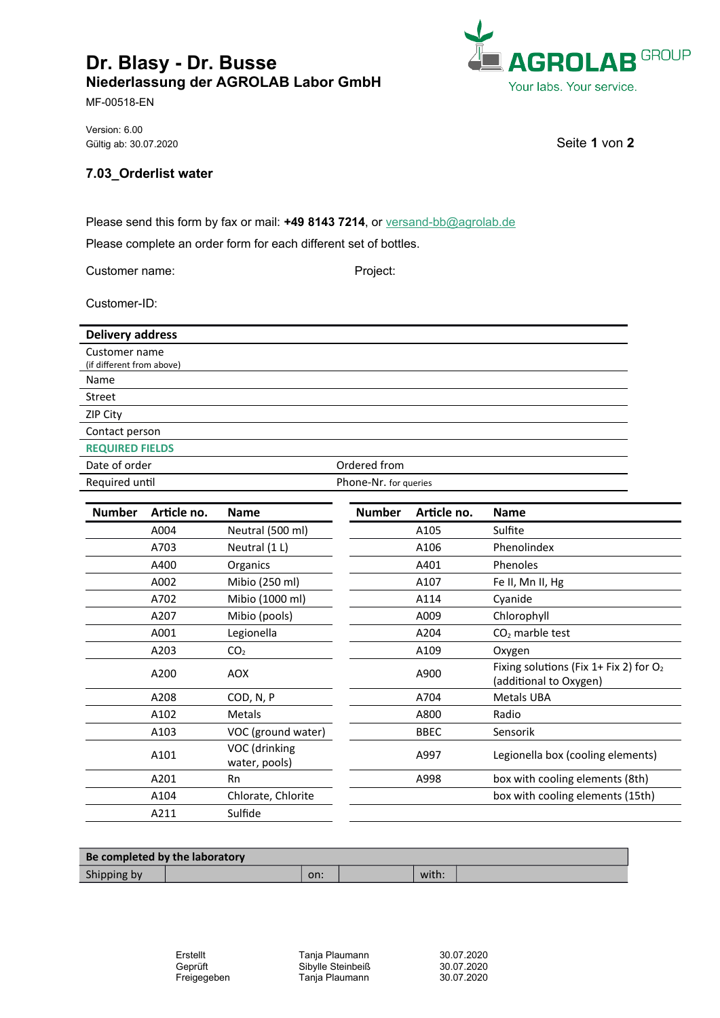## **Dr. Blasy - Dr. Busse Niederlassung der AGROLAB Labor GmbH**

MF-00518-EN

Version: 6.00 Gültig ab: 30.07.2020 Seite **1** von **2** 

## **7.03\_Orderlist water**

Please send this form by fax or mail: **+49 8143 7214**, or [versand-bb@agrolab.de](mailto:versand-bb@agrolab.de)

Please complete an order form for each different set of bottles.

Customer name: Project:

Customer-ID:

| <b>Delivery address</b>   |                       |
|---------------------------|-----------------------|
| Customer name             |                       |
| (if different from above) |                       |
| Name                      |                       |
| Street                    |                       |
| ZIP City                  |                       |
| Contact person            |                       |
| <b>REQUIRED FIELDS</b>    |                       |
| Date of order             | Ordered from          |
| Required until            | Phone-Nr. for queries |

| <b>Number</b> | Article no. | <b>Name</b>                    | <b>Number</b> | Article no. | <b>Name</b>                                                         |
|---------------|-------------|--------------------------------|---------------|-------------|---------------------------------------------------------------------|
|               | A004        | Neutral (500 ml)               |               | A105        | Sulfite                                                             |
|               | A703        | Neutral (1 L)                  |               | A106        | Phenolindex                                                         |
|               | A400        | Organics                       |               | A401        | Phenoles                                                            |
|               | A002        | Mibio (250 ml)                 |               | A107        | Fe II, Mn II, Hg                                                    |
|               | A702        | Mibio (1000 ml)                |               | A114        | Cyanide                                                             |
|               | A207        | Mibio (pools)                  |               | A009        | Chlorophyll                                                         |
|               | A001        | Legionella                     |               | A204        | $CO2$ marble test                                                   |
|               | A203        | CO <sub>2</sub>                |               | A109        | Oxygen                                                              |
|               | A200        | <b>AOX</b>                     |               | A900        | Fixing solutions (Fix 1+ Fix 2) for $O_2$<br>(additional to Oxygen) |
|               | A208        | COD, N, P                      |               | A704        | <b>Metals UBA</b>                                                   |
|               | A102        | <b>Metals</b>                  |               | A800        | Radio                                                               |
|               | A103        | VOC (ground water)             |               | <b>BBEC</b> | Sensorik                                                            |
|               | A101        | VOC (drinking<br>water, pools) |               | A997        | Legionella box (cooling elements)                                   |
|               | A201        | <b>Rn</b>                      |               | A998        | box with cooling elements (8th)                                     |
|               | A104        | Chlorate, Chlorite             |               |             | box with cooling elements (15th)                                    |
|               | A211        | Sulfide                        |               |             |                                                                     |

| Be completed by the laboratory |     |  |       |  |  |  |  |  |  |
|--------------------------------|-----|--|-------|--|--|--|--|--|--|
| Shipping by                    | on: |  | with. |  |  |  |  |  |  |

Erstellt **Tanja Plaumann** 30.07.2020 Geprüft Sibylle Steinbeiß 30.07.2020 Tanja Plaumann